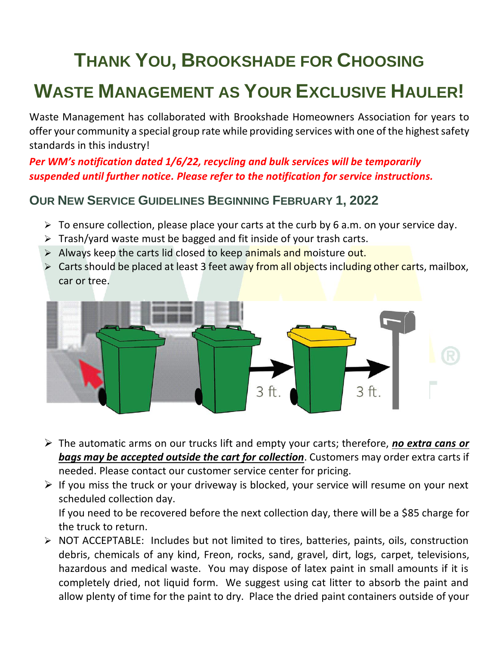# **THANK YOU, BROOKSHADE FOR CHOOSING**

# **WASTE MANAGEMENT AS YOUR EXCLUSIVE HAULER!**

Waste Management has collaborated with Brookshade Homeowners Association for years to offer your community a special group rate while providing services with one of the highest safety standards in this industry!

*Per WM's notification dated 1/6/22, recycling and bulk services will be temporarily suspended until further notice. Please refer to the notification for service instructions.*

## **OUR NEW SERVICE GUIDELINES BEGINNING FEBRUARY 1, 2022**

- $\triangleright$  To ensure collection, please place your carts at the curb by 6 a.m. on your service day.
- $\triangleright$  Trash/yard waste must be bagged and fit inside of your trash carts.
- ➢ Always keep the carts lid closed to keep animals and moisture out.
- ➢ Carts should be placed at least 3 feet away from all objects including other carts, mailbox, car or tree.



- ➢ The automatic arms on our trucks lift and empty your carts; therefore, *no extra cans or bags may be accepted outside the cart for collection*. Customers may order extra carts if needed. Please contact our customer service center for pricing.
- $\triangleright$  If you miss the truck or your driveway is blocked, your service will resume on your next scheduled collection day.

If you need to be recovered before the next collection day, there will be a \$85 charge for the truck to return.

➢ NOT ACCEPTABLE: Includes but not limited to tires, batteries, paints, oils, construction debris, chemicals of any kind, Freon, rocks, sand, gravel, dirt, logs, carpet, televisions, hazardous and medical waste. You may dispose of latex paint in small amounts if it is completely dried, not liquid form. We suggest using cat litter to absorb the paint and allow plenty of time for the paint to dry. Place the dried paint containers outside of your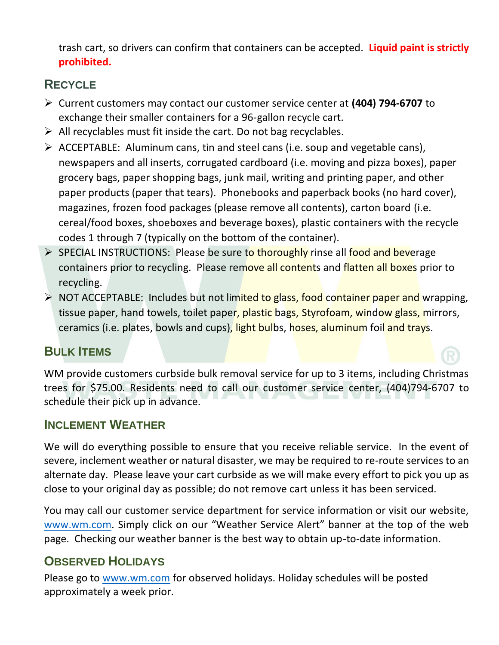trash cart, so drivers can confirm that containers can be accepted. **Liquid paint is strictly prohibited.** 

# **RECYCLE**

- ➢ Current customers may contact our customer service center at **(404) 794-6707** to exchange their smaller containers for a 96-gallon recycle cart.
- $\triangleright$  All recyclables must fit inside the cart. Do not bag recyclables.
- $\triangleright$  ACCEPTABLE: Aluminum cans, tin and steel cans (i.e. soup and vegetable cans), newspapers and all inserts, corrugated cardboard (i.e. moving and pizza boxes), paper grocery bags, paper shopping bags, junk mail, writing and printing paper, and other paper products (paper that tears). Phonebooks and paperback books (no hard cover), magazines, frozen food packages (please remove all contents), carton board (i.e. cereal/food boxes, shoeboxes and beverage boxes), plastic containers with the recycle codes 1 through 7 (typically on the bottom of the container).
- ➢ SPECIAL INSTRUCTIONS: Please be sure to thoroughly rinse all food and beverage containers prior to recycling. Please remove all contents and flatten all boxes prior to recycling.
- ➢ NOT ACCEPTABLE: Includes but not limited to glass, food container paper and wrapping, tissue paper, hand towels, toilet paper, plastic bags, Styrofoam, window glass, mirrors, ceramics (i.e. plates, bowls and cups), light bulbs, hoses, aluminum foil and trays.

## **BULK ITEMS**

WM provide customers curbside bulk removal service for up to 3 items, including Christmas trees for \$75.00. Residents need to call our customer service center, (404)794-6707 to schedule their pick up in advance.

#### **INCLEMENT WEATHER**

We will do everything possible to ensure that you receive reliable service. In the event of severe, inclement weather or natural disaster, we may be required to re-route services to an alternate day. Please leave your cart curbside as we will make every effort to pick you up as close to your original day as possible; do not remove cart unless it has been serviced.

You may call our customer service department for service information or visit our website, [www.wm.com](http://www.wm.com/). Simply click on our "Weather Service Alert" banner at the top of the web page. Checking our weather banner is the best way to obtain up-to-date information.

## **OBSERVED HOLIDAYS**

Please go to [www.wm.com](http://www.wm.com/) for observed holidays. Holiday schedules will be posted approximately a week prior.